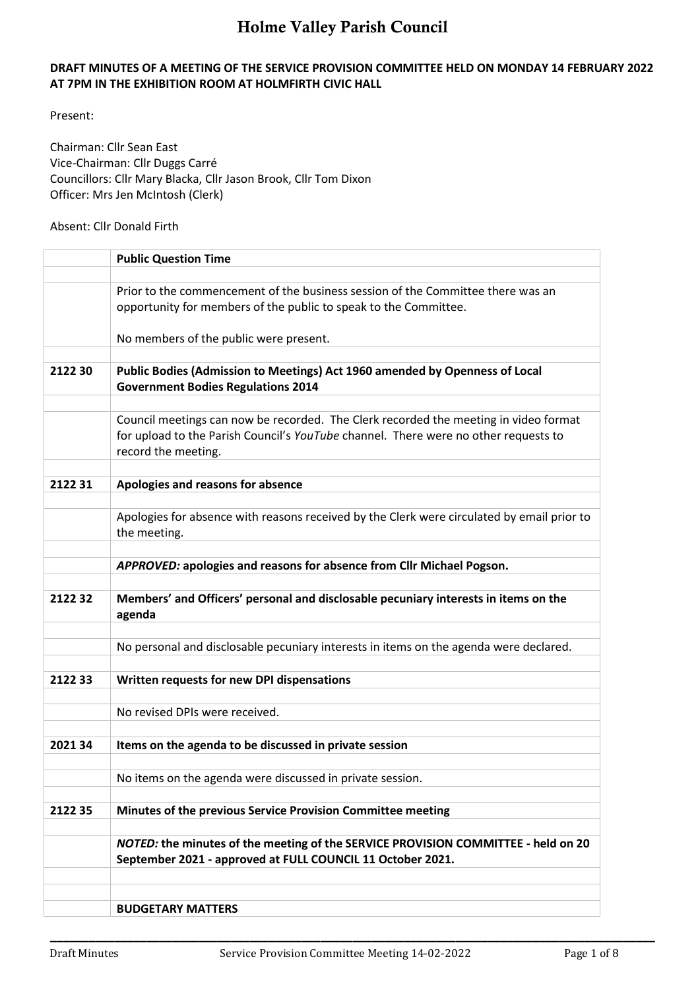#### **DRAFT MINUTES OF A MEETING OF THE SERVICE PROVISION COMMITTEE HELD ON MONDAY 14 FEBRUARY 2022 AT 7PM IN THE EXHIBITION ROOM AT HOLMFIRTH CIVIC HALL**

Present:

Chairman: Cllr Sean East Vice-Chairman: Cllr Duggs Carré Councillors: Cllr Mary Blacka, Cllr Jason Brook, Cllr Tom Dixon Officer: Mrs Jen McIntosh (Clerk)

Absent: Cllr Donald Firth

|         | <b>Public Question Time</b>                                                                                                                     |
|---------|-------------------------------------------------------------------------------------------------------------------------------------------------|
|         |                                                                                                                                                 |
|         | Prior to the commencement of the business session of the Committee there was an                                                                 |
|         | opportunity for members of the public to speak to the Committee.                                                                                |
|         | No members of the public were present.                                                                                                          |
|         |                                                                                                                                                 |
| 2122 30 | Public Bodies (Admission to Meetings) Act 1960 amended by Openness of Local<br><b>Government Bodies Regulations 2014</b>                        |
|         |                                                                                                                                                 |
|         | Council meetings can now be recorded. The Clerk recorded the meeting in video format                                                            |
|         | for upload to the Parish Council's YouTube channel. There were no other requests to<br>record the meeting.                                      |
|         |                                                                                                                                                 |
| 212231  | Apologies and reasons for absence                                                                                                               |
|         |                                                                                                                                                 |
|         | Apologies for absence with reasons received by the Clerk were circulated by email prior to<br>the meeting.                                      |
|         |                                                                                                                                                 |
|         | APPROVED: apologies and reasons for absence from Cllr Michael Pogson.                                                                           |
|         |                                                                                                                                                 |
| 212232  | Members' and Officers' personal and disclosable pecuniary interests in items on the<br>agenda                                                   |
|         |                                                                                                                                                 |
|         | No personal and disclosable pecuniary interests in items on the agenda were declared.                                                           |
| 212233  | Written requests for new DPI dispensations                                                                                                      |
|         |                                                                                                                                                 |
|         | No revised DPIs were received.                                                                                                                  |
|         |                                                                                                                                                 |
| 2021 34 | Items on the agenda to be discussed in private session                                                                                          |
|         | No items on the agenda were discussed in private session.                                                                                       |
|         |                                                                                                                                                 |
| 2122 35 | Minutes of the previous Service Provision Committee meeting                                                                                     |
|         |                                                                                                                                                 |
|         | NOTED: the minutes of the meeting of the SERVICE PROVISION COMMITTEE - held on 20<br>September 2021 - approved at FULL COUNCIL 11 October 2021. |
|         |                                                                                                                                                 |
|         |                                                                                                                                                 |
|         | <b>BUDGETARY MATTERS</b>                                                                                                                        |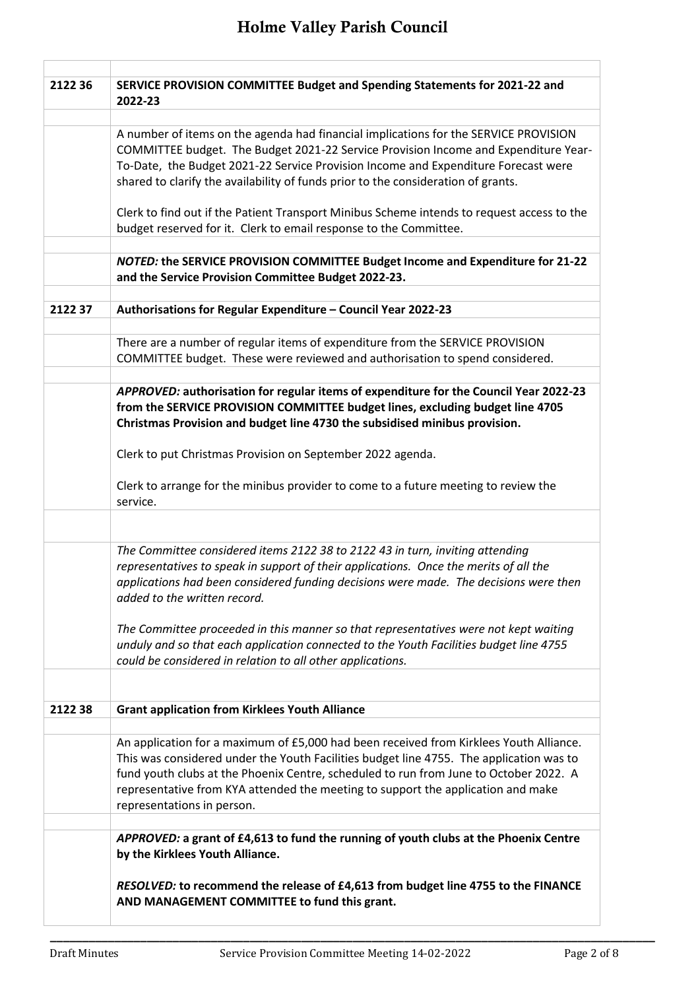| 2122 36 | SERVICE PROVISION COMMITTEE Budget and Spending Statements for 2021-22 and<br>2022-23                                                                                     |
|---------|---------------------------------------------------------------------------------------------------------------------------------------------------------------------------|
|         |                                                                                                                                                                           |
|         | A number of items on the agenda had financial implications for the SERVICE PROVISION                                                                                      |
|         | COMMITTEE budget. The Budget 2021-22 Service Provision Income and Expenditure Year-<br>To-Date, the Budget 2021-22 Service Provision Income and Expenditure Forecast were |
|         | shared to clarify the availability of funds prior to the consideration of grants.                                                                                         |
|         |                                                                                                                                                                           |
|         | Clerk to find out if the Patient Transport Minibus Scheme intends to request access to the                                                                                |
|         | budget reserved for it. Clerk to email response to the Committee.                                                                                                         |
|         | <b>NOTED: the SERVICE PROVISION COMMITTEE Budget Income and Expenditure for 21-22</b>                                                                                     |
|         | and the Service Provision Committee Budget 2022-23.                                                                                                                       |
| 212237  | Authorisations for Regular Expenditure - Council Year 2022-23                                                                                                             |
|         |                                                                                                                                                                           |
|         | There are a number of regular items of expenditure from the SERVICE PROVISION                                                                                             |
|         | COMMITTEE budget. These were reviewed and authorisation to spend considered.                                                                                              |
|         |                                                                                                                                                                           |
|         | APPROVED: authorisation for regular items of expenditure for the Council Year 2022-23                                                                                     |
|         | from the SERVICE PROVISION COMMITTEE budget lines, excluding budget line 4705                                                                                             |
|         | Christmas Provision and budget line 4730 the subsidised minibus provision.                                                                                                |
|         | Clerk to put Christmas Provision on September 2022 agenda.                                                                                                                |
|         | Clerk to arrange for the minibus provider to come to a future meeting to review the<br>service.                                                                           |
|         |                                                                                                                                                                           |
|         | The Committee considered items 2122 38 to 2122 43 in turn, inviting attending                                                                                             |
|         | representatives to speak in support of their applications. Once the merits of all the                                                                                     |
|         | applications had been considered funding decisions were made. The decisions were then                                                                                     |
|         | added to the written record.                                                                                                                                              |
|         |                                                                                                                                                                           |
|         | The Committee proceeded in this manner so that representatives were not kept waiting                                                                                      |
|         | unduly and so that each application connected to the Youth Facilities budget line 4755<br>could be considered in relation to all other applications.                      |
|         |                                                                                                                                                                           |
| 212238  | <b>Grant application from Kirklees Youth Alliance</b>                                                                                                                     |
|         |                                                                                                                                                                           |
|         | An application for a maximum of £5,000 had been received from Kirklees Youth Alliance.                                                                                    |
|         | This was considered under the Youth Facilities budget line 4755. The application was to                                                                                   |
|         | fund youth clubs at the Phoenix Centre, scheduled to run from June to October 2022. A                                                                                     |
|         | representative from KYA attended the meeting to support the application and make                                                                                          |
|         | representations in person.                                                                                                                                                |
|         | APPROVED: a grant of £4,613 to fund the running of youth clubs at the Phoenix Centre                                                                                      |
|         | by the Kirklees Youth Alliance.                                                                                                                                           |
|         | RESOLVED: to recommend the release of £4,613 from budget line 4755 to the FINANCE                                                                                         |
|         | AND MANAGEMENT COMMITTEE to fund this grant.                                                                                                                              |
|         |                                                                                                                                                                           |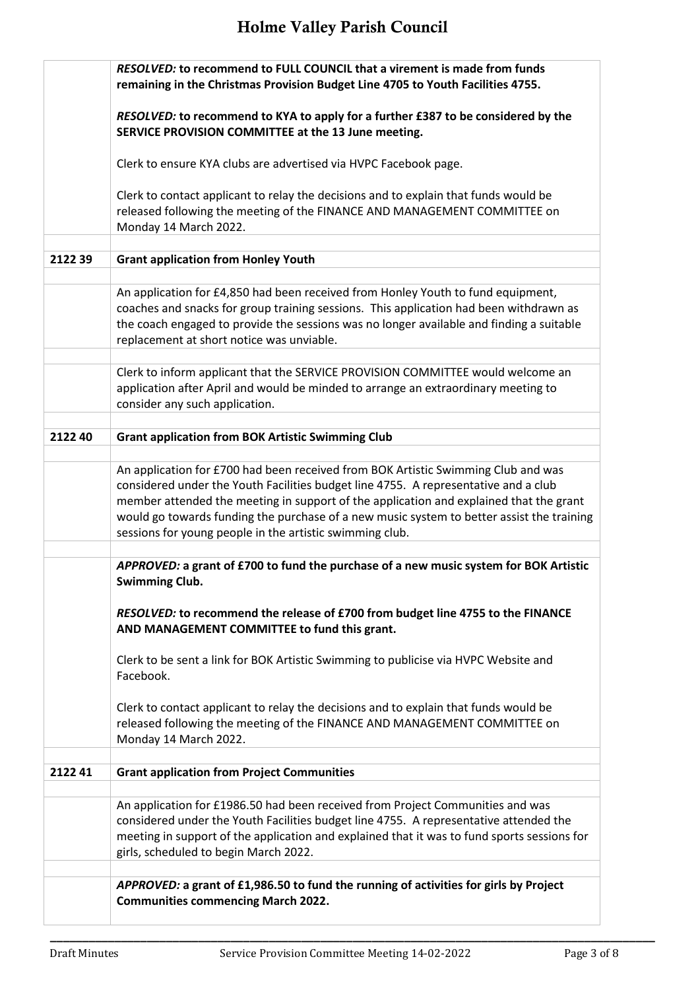|         | <b>RESOLVED: to recommend to FULL COUNCIL that a virement is made from funds</b><br>remaining in the Christmas Provision Budget Line 4705 to Youth Facilities 4755.                                                                                                                                                                                                                                                         |
|---------|-----------------------------------------------------------------------------------------------------------------------------------------------------------------------------------------------------------------------------------------------------------------------------------------------------------------------------------------------------------------------------------------------------------------------------|
|         | RESOLVED: to recommend to KYA to apply for a further £387 to be considered by the<br>SERVICE PROVISION COMMITTEE at the 13 June meeting.                                                                                                                                                                                                                                                                                    |
|         | Clerk to ensure KYA clubs are advertised via HVPC Facebook page.                                                                                                                                                                                                                                                                                                                                                            |
|         | Clerk to contact applicant to relay the decisions and to explain that funds would be<br>released following the meeting of the FINANCE AND MANAGEMENT COMMITTEE on<br>Monday 14 March 2022.                                                                                                                                                                                                                                  |
| 212239  | <b>Grant application from Honley Youth</b>                                                                                                                                                                                                                                                                                                                                                                                  |
|         | An application for £4,850 had been received from Honley Youth to fund equipment,<br>coaches and snacks for group training sessions. This application had been withdrawn as<br>the coach engaged to provide the sessions was no longer available and finding a suitable<br>replacement at short notice was unviable.                                                                                                         |
|         | Clerk to inform applicant that the SERVICE PROVISION COMMITTEE would welcome an<br>application after April and would be minded to arrange an extraordinary meeting to<br>consider any such application.                                                                                                                                                                                                                     |
| 2122 40 | <b>Grant application from BOK Artistic Swimming Club</b>                                                                                                                                                                                                                                                                                                                                                                    |
|         | An application for £700 had been received from BOK Artistic Swimming Club and was<br>considered under the Youth Facilities budget line 4755. A representative and a club<br>member attended the meeting in support of the application and explained that the grant<br>would go towards funding the purchase of a new music system to better assist the training<br>sessions for young people in the artistic swimming club. |
|         | APPROVED: a grant of £700 to fund the purchase of a new music system for BOK Artistic<br><b>Swimming Club.</b>                                                                                                                                                                                                                                                                                                              |
|         | RESOLVED: to recommend the release of £700 from budget line 4755 to the FINANCE<br>AND MANAGEMENT COMMITTEE to fund this grant.                                                                                                                                                                                                                                                                                             |
|         | Clerk to be sent a link for BOK Artistic Swimming to publicise via HVPC Website and<br>Facebook.                                                                                                                                                                                                                                                                                                                            |
|         | Clerk to contact applicant to relay the decisions and to explain that funds would be<br>released following the meeting of the FINANCE AND MANAGEMENT COMMITTEE on<br>Monday 14 March 2022.                                                                                                                                                                                                                                  |
| 212241  | <b>Grant application from Project Communities</b>                                                                                                                                                                                                                                                                                                                                                                           |
|         | An application for £1986.50 had been received from Project Communities and was<br>considered under the Youth Facilities budget line 4755. A representative attended the<br>meeting in support of the application and explained that it was to fund sports sessions for<br>girls, scheduled to begin March 2022.                                                                                                             |
|         | APPROVED: a grant of £1,986.50 to fund the running of activities for girls by Project<br><b>Communities commencing March 2022.</b>                                                                                                                                                                                                                                                                                          |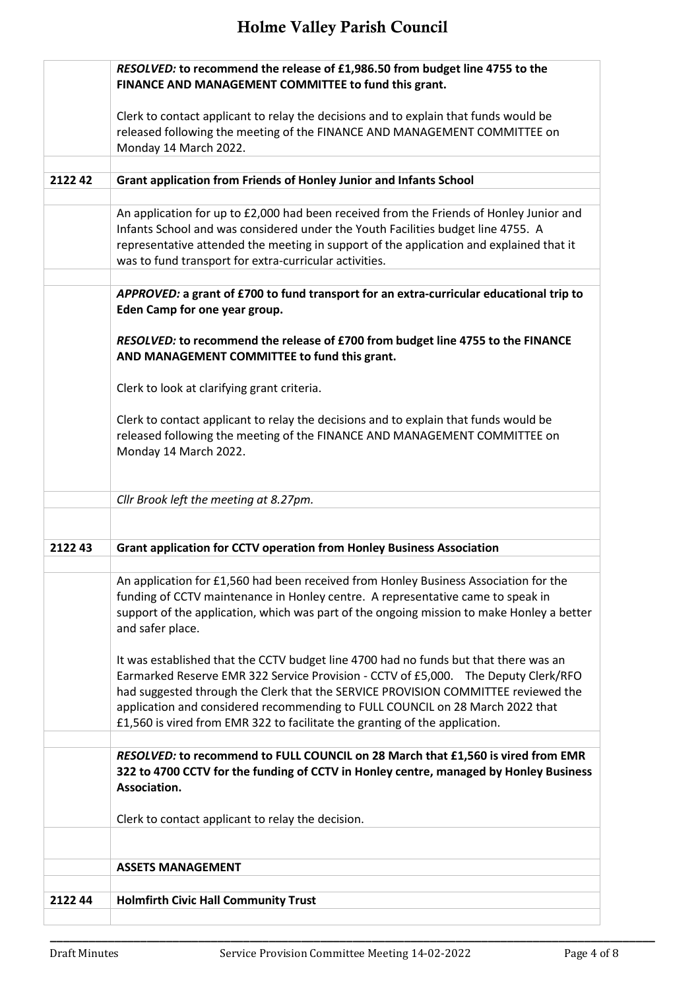|        | RESOLVED: to recommend the release of £1,986.50 from budget line 4755 to the                                                                                                                                                                                                                                                                                                                                                    |
|--------|---------------------------------------------------------------------------------------------------------------------------------------------------------------------------------------------------------------------------------------------------------------------------------------------------------------------------------------------------------------------------------------------------------------------------------|
|        | FINANCE AND MANAGEMENT COMMITTEE to fund this grant.                                                                                                                                                                                                                                                                                                                                                                            |
|        | Clerk to contact applicant to relay the decisions and to explain that funds would be                                                                                                                                                                                                                                                                                                                                            |
|        | released following the meeting of the FINANCE AND MANAGEMENT COMMITTEE on                                                                                                                                                                                                                                                                                                                                                       |
|        | Monday 14 March 2022.                                                                                                                                                                                                                                                                                                                                                                                                           |
|        |                                                                                                                                                                                                                                                                                                                                                                                                                                 |
| 212242 | Grant application from Friends of Honley Junior and Infants School                                                                                                                                                                                                                                                                                                                                                              |
|        | An application for up to £2,000 had been received from the Friends of Honley Junior and<br>Infants School and was considered under the Youth Facilities budget line 4755. A<br>representative attended the meeting in support of the application and explained that it                                                                                                                                                          |
|        | was to fund transport for extra-curricular activities.                                                                                                                                                                                                                                                                                                                                                                          |
|        | APPROVED: a grant of £700 to fund transport for an extra-curricular educational trip to<br>Eden Camp for one year group.                                                                                                                                                                                                                                                                                                        |
|        | RESOLVED: to recommend the release of £700 from budget line 4755 to the FINANCE<br>AND MANAGEMENT COMMITTEE to fund this grant.                                                                                                                                                                                                                                                                                                 |
|        | Clerk to look at clarifying grant criteria.                                                                                                                                                                                                                                                                                                                                                                                     |
|        | Clerk to contact applicant to relay the decisions and to explain that funds would be<br>released following the meeting of the FINANCE AND MANAGEMENT COMMITTEE on<br>Monday 14 March 2022.                                                                                                                                                                                                                                      |
|        |                                                                                                                                                                                                                                                                                                                                                                                                                                 |
|        | Cllr Brook left the meeting at 8.27pm.                                                                                                                                                                                                                                                                                                                                                                                          |
| 212243 | <b>Grant application for CCTV operation from Honley Business Association</b>                                                                                                                                                                                                                                                                                                                                                    |
|        | An application for £1,560 had been received from Honley Business Association for the                                                                                                                                                                                                                                                                                                                                            |
|        | funding of CCTV maintenance in Honley centre. A representative came to speak in<br>support of the application, which was part of the ongoing mission to make Honley a better<br>and safer place.                                                                                                                                                                                                                                |
|        | It was established that the CCTV budget line 4700 had no funds but that there was an<br>Earmarked Reserve EMR 322 Service Provision - CCTV of £5,000. The Deputy Clerk/RFO<br>had suggested through the Clerk that the SERVICE PROVISION COMMITTEE reviewed the<br>application and considered recommending to FULL COUNCIL on 28 March 2022 that<br>£1,560 is vired from EMR 322 to facilitate the granting of the application. |
|        |                                                                                                                                                                                                                                                                                                                                                                                                                                 |
|        | RESOLVED: to recommend to FULL COUNCIL on 28 March that £1,560 is vired from EMR<br>322 to 4700 CCTV for the funding of CCTV in Honley centre, managed by Honley Business<br>Association.                                                                                                                                                                                                                                       |
|        | Clerk to contact applicant to relay the decision.                                                                                                                                                                                                                                                                                                                                                                               |
|        |                                                                                                                                                                                                                                                                                                                                                                                                                                 |
|        |                                                                                                                                                                                                                                                                                                                                                                                                                                 |
|        | <b>ASSETS MANAGEMENT</b>                                                                                                                                                                                                                                                                                                                                                                                                        |
| 212244 | <b>Holmfirth Civic Hall Community Trust</b>                                                                                                                                                                                                                                                                                                                                                                                     |
|        |                                                                                                                                                                                                                                                                                                                                                                                                                                 |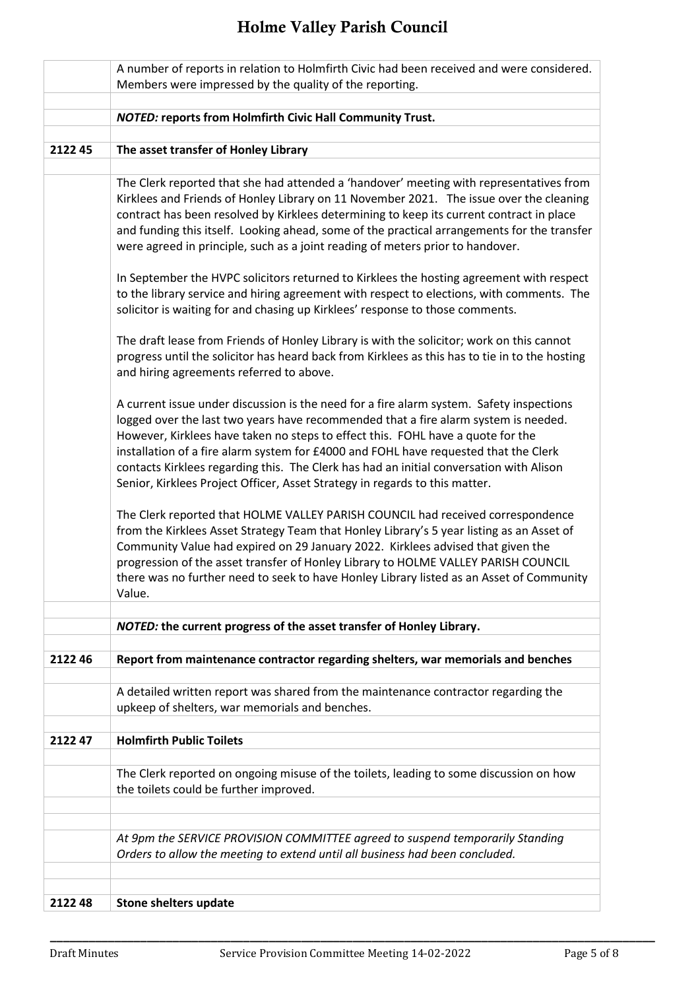|        | A number of reports in relation to Holmfirth Civic had been received and were considered.<br>Members were impressed by the quality of the reporting.                                                                                                                                                                                                                                                                                                                                                                                                                                                                                                                                                                                                                                                                                                                                                                                                                                                                                                                                                                                                                                                                                                                                                                                                                                                                                                                                                                         |
|--------|------------------------------------------------------------------------------------------------------------------------------------------------------------------------------------------------------------------------------------------------------------------------------------------------------------------------------------------------------------------------------------------------------------------------------------------------------------------------------------------------------------------------------------------------------------------------------------------------------------------------------------------------------------------------------------------------------------------------------------------------------------------------------------------------------------------------------------------------------------------------------------------------------------------------------------------------------------------------------------------------------------------------------------------------------------------------------------------------------------------------------------------------------------------------------------------------------------------------------------------------------------------------------------------------------------------------------------------------------------------------------------------------------------------------------------------------------------------------------------------------------------------------------|
|        |                                                                                                                                                                                                                                                                                                                                                                                                                                                                                                                                                                                                                                                                                                                                                                                                                                                                                                                                                                                                                                                                                                                                                                                                                                                                                                                                                                                                                                                                                                                              |
|        | <b>NOTED: reports from Holmfirth Civic Hall Community Trust.</b>                                                                                                                                                                                                                                                                                                                                                                                                                                                                                                                                                                                                                                                                                                                                                                                                                                                                                                                                                                                                                                                                                                                                                                                                                                                                                                                                                                                                                                                             |
| 212245 | The asset transfer of Honley Library                                                                                                                                                                                                                                                                                                                                                                                                                                                                                                                                                                                                                                                                                                                                                                                                                                                                                                                                                                                                                                                                                                                                                                                                                                                                                                                                                                                                                                                                                         |
|        |                                                                                                                                                                                                                                                                                                                                                                                                                                                                                                                                                                                                                                                                                                                                                                                                                                                                                                                                                                                                                                                                                                                                                                                                                                                                                                                                                                                                                                                                                                                              |
|        | The Clerk reported that she had attended a 'handover' meeting with representatives from<br>Kirklees and Friends of Honley Library on 11 November 2021. The issue over the cleaning<br>contract has been resolved by Kirklees determining to keep its current contract in place<br>and funding this itself. Looking ahead, some of the practical arrangements for the transfer<br>were agreed in principle, such as a joint reading of meters prior to handover.<br>In September the HVPC solicitors returned to Kirklees the hosting agreement with respect<br>to the library service and hiring agreement with respect to elections, with comments. The<br>solicitor is waiting for and chasing up Kirklees' response to those comments.<br>The draft lease from Friends of Honley Library is with the solicitor; work on this cannot<br>progress until the solicitor has heard back from Kirklees as this has to tie in to the hosting<br>and hiring agreements referred to above.<br>A current issue under discussion is the need for a fire alarm system. Safety inspections<br>logged over the last two years have recommended that a fire alarm system is needed.<br>However, Kirklees have taken no steps to effect this. FOHL have a quote for the<br>installation of a fire alarm system for £4000 and FOHL have requested that the Clerk<br>contacts Kirklees regarding this. The Clerk has had an initial conversation with Alison<br>Senior, Kirklees Project Officer, Asset Strategy in regards to this matter. |
|        | The Clerk reported that HOLME VALLEY PARISH COUNCIL had received correspondence<br>from the Kirklees Asset Strategy Team that Honley Library's 5 year listing as an Asset of<br>Community Value had expired on 29 January 2022. Kirklees advised that given the<br>progression of the asset transfer of Honley Library to HOLME VALLEY PARISH COUNCIL<br>there was no further need to seek to have Honley Library listed as an Asset of Community<br>Value.                                                                                                                                                                                                                                                                                                                                                                                                                                                                                                                                                                                                                                                                                                                                                                                                                                                                                                                                                                                                                                                                  |
|        | NOTED: the current progress of the asset transfer of Honley Library.                                                                                                                                                                                                                                                                                                                                                                                                                                                                                                                                                                                                                                                                                                                                                                                                                                                                                                                                                                                                                                                                                                                                                                                                                                                                                                                                                                                                                                                         |
|        |                                                                                                                                                                                                                                                                                                                                                                                                                                                                                                                                                                                                                                                                                                                                                                                                                                                                                                                                                                                                                                                                                                                                                                                                                                                                                                                                                                                                                                                                                                                              |
| 212246 | Report from maintenance contractor regarding shelters, war memorials and benches                                                                                                                                                                                                                                                                                                                                                                                                                                                                                                                                                                                                                                                                                                                                                                                                                                                                                                                                                                                                                                                                                                                                                                                                                                                                                                                                                                                                                                             |
|        | A detailed written report was shared from the maintenance contractor regarding the<br>upkeep of shelters, war memorials and benches.                                                                                                                                                                                                                                                                                                                                                                                                                                                                                                                                                                                                                                                                                                                                                                                                                                                                                                                                                                                                                                                                                                                                                                                                                                                                                                                                                                                         |
| 212247 | <b>Holmfirth Public Toilets</b>                                                                                                                                                                                                                                                                                                                                                                                                                                                                                                                                                                                                                                                                                                                                                                                                                                                                                                                                                                                                                                                                                                                                                                                                                                                                                                                                                                                                                                                                                              |
|        | The Clerk reported on ongoing misuse of the toilets, leading to some discussion on how<br>the toilets could be further improved.                                                                                                                                                                                                                                                                                                                                                                                                                                                                                                                                                                                                                                                                                                                                                                                                                                                                                                                                                                                                                                                                                                                                                                                                                                                                                                                                                                                             |
|        |                                                                                                                                                                                                                                                                                                                                                                                                                                                                                                                                                                                                                                                                                                                                                                                                                                                                                                                                                                                                                                                                                                                                                                                                                                                                                                                                                                                                                                                                                                                              |
|        | At 9pm the SERVICE PROVISION COMMITTEE agreed to suspend temporarily Standing<br>Orders to allow the meeting to extend until all business had been concluded.                                                                                                                                                                                                                                                                                                                                                                                                                                                                                                                                                                                                                                                                                                                                                                                                                                                                                                                                                                                                                                                                                                                                                                                                                                                                                                                                                                |
|        |                                                                                                                                                                                                                                                                                                                                                                                                                                                                                                                                                                                                                                                                                                                                                                                                                                                                                                                                                                                                                                                                                                                                                                                                                                                                                                                                                                                                                                                                                                                              |
| 212248 | Stone shelters update                                                                                                                                                                                                                                                                                                                                                                                                                                                                                                                                                                                                                                                                                                                                                                                                                                                                                                                                                                                                                                                                                                                                                                                                                                                                                                                                                                                                                                                                                                        |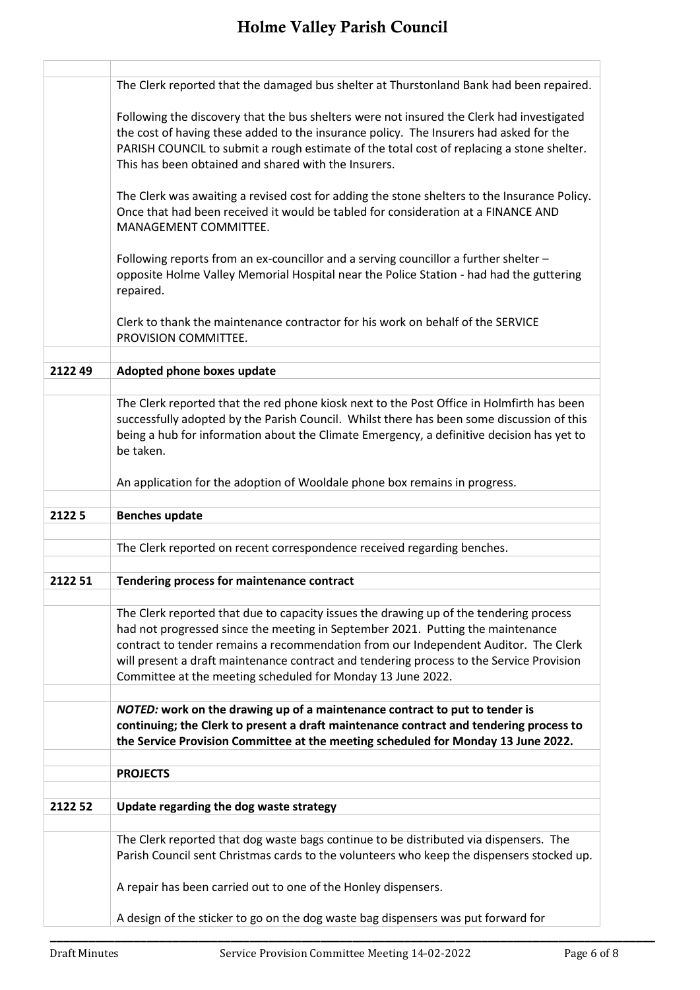|         | The Clerk reported that the damaged bus shelter at Thurstonland Bank had been repaired.                                                                                                                                                                                                                                                                                                                                     |
|---------|-----------------------------------------------------------------------------------------------------------------------------------------------------------------------------------------------------------------------------------------------------------------------------------------------------------------------------------------------------------------------------------------------------------------------------|
|         | Following the discovery that the bus shelters were not insured the Clerk had investigated<br>the cost of having these added to the insurance policy. The Insurers had asked for the<br>PARISH COUNCIL to submit a rough estimate of the total cost of replacing a stone shelter.<br>This has been obtained and shared with the Insurers.                                                                                    |
|         | The Clerk was awaiting a revised cost for adding the stone shelters to the Insurance Policy.<br>Once that had been received it would be tabled for consideration at a FINANCE AND<br>MANAGEMENT COMMITTEE.                                                                                                                                                                                                                  |
|         | Following reports from an ex-councillor and a serving councillor a further shelter -<br>opposite Holme Valley Memorial Hospital near the Police Station - had had the guttering<br>repaired.                                                                                                                                                                                                                                |
|         | Clerk to thank the maintenance contractor for his work on behalf of the SERVICE<br>PROVISION COMMITTEE.                                                                                                                                                                                                                                                                                                                     |
| 212249  | Adopted phone boxes update                                                                                                                                                                                                                                                                                                                                                                                                  |
|         |                                                                                                                                                                                                                                                                                                                                                                                                                             |
|         | The Clerk reported that the red phone kiosk next to the Post Office in Holmfirth has been<br>successfully adopted by the Parish Council. Whilst there has been some discussion of this<br>being a hub for information about the Climate Emergency, a definitive decision has yet to<br>be taken.                                                                                                                            |
|         | An application for the adoption of Wooldale phone box remains in progress.                                                                                                                                                                                                                                                                                                                                                  |
|         |                                                                                                                                                                                                                                                                                                                                                                                                                             |
|         |                                                                                                                                                                                                                                                                                                                                                                                                                             |
| 21225   | <b>Benches update</b>                                                                                                                                                                                                                                                                                                                                                                                                       |
|         |                                                                                                                                                                                                                                                                                                                                                                                                                             |
|         | The Clerk reported on recent correspondence received regarding benches.                                                                                                                                                                                                                                                                                                                                                     |
|         |                                                                                                                                                                                                                                                                                                                                                                                                                             |
| 2122 51 | Tendering process for maintenance contract                                                                                                                                                                                                                                                                                                                                                                                  |
|         | The Clerk reported that due to capacity issues the drawing up of the tendering process<br>had not progressed since the meeting in September 2021. Putting the maintenance<br>contract to tender remains a recommendation from our Independent Auditor. The Clerk<br>will present a draft maintenance contract and tendering process to the Service Provision<br>Committee at the meeting scheduled for Monday 13 June 2022. |
|         |                                                                                                                                                                                                                                                                                                                                                                                                                             |
|         | NOTED: work on the drawing up of a maintenance contract to put to tender is<br>continuing; the Clerk to present a draft maintenance contract and tendering process to<br>the Service Provision Committee at the meeting scheduled for Monday 13 June 2022.                                                                                                                                                                  |
|         | <b>PROJECTS</b>                                                                                                                                                                                                                                                                                                                                                                                                             |
|         |                                                                                                                                                                                                                                                                                                                                                                                                                             |
| 2122 52 | Update regarding the dog waste strategy                                                                                                                                                                                                                                                                                                                                                                                     |
|         | The Clerk reported that dog waste bags continue to be distributed via dispensers. The<br>Parish Council sent Christmas cards to the volunteers who keep the dispensers stocked up.                                                                                                                                                                                                                                          |
|         | A repair has been carried out to one of the Honley dispensers.                                                                                                                                                                                                                                                                                                                                                              |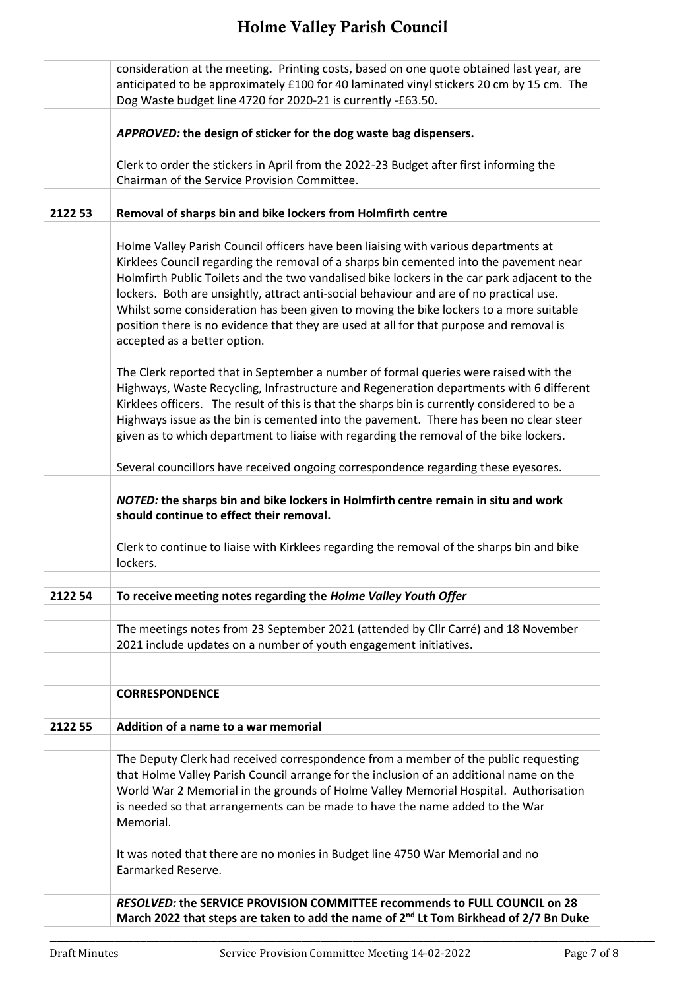|         | consideration at the meeting. Printing costs, based on one quote obtained last year, are<br>anticipated to be approximately £100 for 40 laminated vinyl stickers 20 cm by 15 cm. The<br>Dog Waste budget line 4720 for 2020-21 is currently -£63.50.                                                                                                                                                                                                                                                                                                                                                                                                                                  |
|---------|---------------------------------------------------------------------------------------------------------------------------------------------------------------------------------------------------------------------------------------------------------------------------------------------------------------------------------------------------------------------------------------------------------------------------------------------------------------------------------------------------------------------------------------------------------------------------------------------------------------------------------------------------------------------------------------|
|         | APPROVED: the design of sticker for the dog waste bag dispensers.                                                                                                                                                                                                                                                                                                                                                                                                                                                                                                                                                                                                                     |
|         | Clerk to order the stickers in April from the 2022-23 Budget after first informing the<br>Chairman of the Service Provision Committee.                                                                                                                                                                                                                                                                                                                                                                                                                                                                                                                                                |
| 2122 53 | Removal of sharps bin and bike lockers from Holmfirth centre                                                                                                                                                                                                                                                                                                                                                                                                                                                                                                                                                                                                                          |
|         | Holme Valley Parish Council officers have been liaising with various departments at<br>Kirklees Council regarding the removal of a sharps bin cemented into the pavement near<br>Holmfirth Public Toilets and the two vandalised bike lockers in the car park adjacent to the<br>lockers. Both are unsightly, attract anti-social behaviour and are of no practical use.<br>Whilst some consideration has been given to moving the bike lockers to a more suitable<br>position there is no evidence that they are used at all for that purpose and removal is<br>accepted as a better option.<br>The Clerk reported that in September a number of formal queries were raised with the |
|         | Highways, Waste Recycling, Infrastructure and Regeneration departments with 6 different<br>Kirklees officers. The result of this is that the sharps bin is currently considered to be a<br>Highways issue as the bin is cemented into the pavement. There has been no clear steer<br>given as to which department to liaise with regarding the removal of the bike lockers.                                                                                                                                                                                                                                                                                                           |
|         | Several councillors have received ongoing correspondence regarding these eyesores.                                                                                                                                                                                                                                                                                                                                                                                                                                                                                                                                                                                                    |
|         | NOTED: the sharps bin and bike lockers in Holmfirth centre remain in situ and work<br>should continue to effect their removal.                                                                                                                                                                                                                                                                                                                                                                                                                                                                                                                                                        |
|         | Clerk to continue to liaise with Kirklees regarding the removal of the sharps bin and bike<br>lockers.                                                                                                                                                                                                                                                                                                                                                                                                                                                                                                                                                                                |
| 2122 54 | To receive meeting notes regarding the Holme Valley Youth Offer                                                                                                                                                                                                                                                                                                                                                                                                                                                                                                                                                                                                                       |
|         | The meetings notes from 23 September 2021 (attended by Cllr Carré) and 18 November<br>2021 include updates on a number of youth engagement initiatives.                                                                                                                                                                                                                                                                                                                                                                                                                                                                                                                               |
|         | <b>CORRESPONDENCE</b>                                                                                                                                                                                                                                                                                                                                                                                                                                                                                                                                                                                                                                                                 |
| 2122 55 | Addition of a name to a war memorial                                                                                                                                                                                                                                                                                                                                                                                                                                                                                                                                                                                                                                                  |
|         | The Deputy Clerk had received correspondence from a member of the public requesting<br>that Holme Valley Parish Council arrange for the inclusion of an additional name on the<br>World War 2 Memorial in the grounds of Holme Valley Memorial Hospital. Authorisation<br>is needed so that arrangements can be made to have the name added to the War<br>Memorial.                                                                                                                                                                                                                                                                                                                   |
|         | It was noted that there are no monies in Budget line 4750 War Memorial and no<br>Earmarked Reserve.                                                                                                                                                                                                                                                                                                                                                                                                                                                                                                                                                                                   |
|         | RESOLVED: the SERVICE PROVISION COMMITTEE recommends to FULL COUNCIL on 28<br>March 2022 that steps are taken to add the name of 2 <sup>nd</sup> Lt Tom Birkhead of 2/7 Bn Duke                                                                                                                                                                                                                                                                                                                                                                                                                                                                                                       |